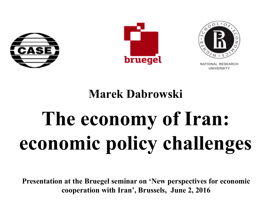





**JNIVERSITY** 

### **Marek Dabrowski**

# **The economy of Iran: economic policy challenges**

**Presentation at the Bruegel seminar on 'New perspectives for economic cooperation with Iran', Brussels, June 2, 2016**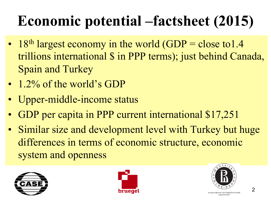# **Economic potential –factsheet (2015)**

- 18<sup>th</sup> largest economy in the world  $(GDP = close to 1.4$ trillions international \$ in PPP terms); just behind Canada, Spain and Turkey
- 1.2% of the world's GDP
- Upper-middle-income status
- GDP per capita in PPP current international \$17,251
- Similar size and development level with Turkey but huge differences in terms of economic structure, economic system and openness





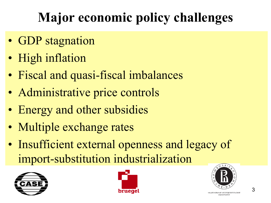# **Major economic policy challenges**

- GDP stagnation
- High inflation
- Fiscal and quasi-fiscal imbalances
- Administrative price controls
- Energy and other subsidies
- Multiple exchange rates
- Insufficient external openness and legacy of import-substitution industrialization





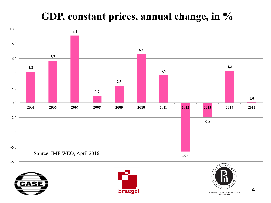### **GDP, constant prices, annual change, in %**







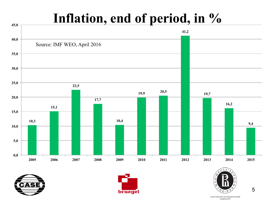### **Inflation, end of period, in %**









5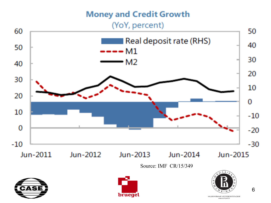#### **Money and Credit Growth**

#### (YoY, percent)







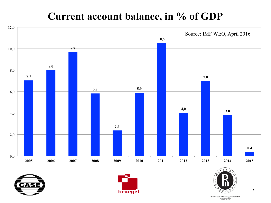### **Current account balance, in % of GDP**









7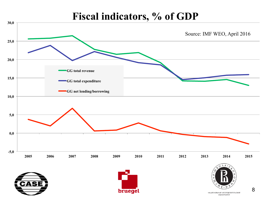#### **Fiscal indicators, % of GDP**

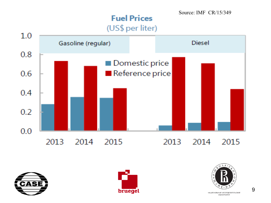#### **Fuel Prices** (US\$ per liter)

Source: IMF CR/15/349









НАЦИОНАЛЬНЫЙ ИССЛЕДОВАТЕЛЬСКИЙ УНИВЕРСИТЕТ

9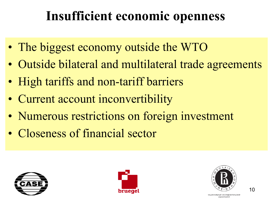## **Insufficient economic openness**

- The biggest economy outside the WTO
- Outside bilateral and multilateral trade agreements
- High tariffs and non-tariff barriers
- Current account inconvertibility
- Numerous restrictions on foreign investment
- Closeness of financial sector







НАЦИОНАЛЬНЫЙ ИССЛЕДОВАТЕЛЬСКИЙ **VHWBEPCWTET**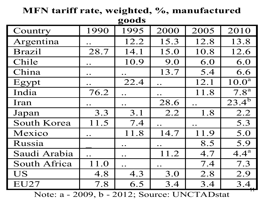| googs              |                     |                    |                     |      |                       |  |  |  |
|--------------------|---------------------|--------------------|---------------------|------|-----------------------|--|--|--|
| Country            | 1990                | 1995               | 2000                | 2005 | 2010                  |  |  |  |
| Argentina          | $\bullet$ $\bullet$ | 12.2               | 15.3                | 12.8 | 13.8                  |  |  |  |
| <b>Brazil</b>      | 28.7                | 14.1               | 15.0                | 10.8 | 12.6                  |  |  |  |
| Chile              | $\bullet\;\bullet$  | 10.9               | 9.0                 | 6.0  | 6.0                   |  |  |  |
| China              | $\bullet$ $\bullet$ |                    | 13.7                | 5.4  | 6.6                   |  |  |  |
| Egypt              | $\bullet$ $\bullet$ | 22.4               | $\bullet$ $\bullet$ | 12.1 | 10.0 <sup>a</sup>     |  |  |  |
| India              | 76.2                |                    | $\ddot{\bullet}$    | 11.8 | 7.8 <sup>a</sup>      |  |  |  |
| Iran               |                     |                    | 28.6                |      | $23.\overline{4^{b}}$ |  |  |  |
| Japan              | 3.3                 | 3.1                | 2.2                 | 1.8  | 2.2                   |  |  |  |
| <b>South Korea</b> | 11.5                | 7.4                |                     |      | 5.3                   |  |  |  |
| Mexico             | $\bullet$ $\bullet$ | 11.8               | 14.7                | 11.9 | 5.0                   |  |  |  |
| Russia             |                     | $\bullet\bullet$   | $\bullet$ $\bullet$ | 8.5  | 5.9                   |  |  |  |
| Saudi Arabia       | $\ddot{\bullet}$    | $\bullet\;\bullet$ | 11.2                | 4.7  | $4.4^{\rm a}$         |  |  |  |
| South Africa       | 11.0                |                    | $\bullet$ $\bullet$ | 7.4  | 7.3                   |  |  |  |
| <b>US</b>          | 4.8                 | 4.3                | 3.0                 | 2.8  | 2.9                   |  |  |  |
| EU27               | 7.8                 | 6.5                | 3.4                 | 3.4  | 3.4                   |  |  |  |

**MFN tariff rate, weighted, %, manufactured goods**

Note: a - 2009, b - 2012; Source: UNCTADstat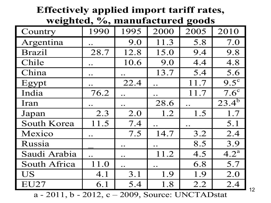| Effectively applied import tariff rates, |                     |                  |                    |      |               |  |  |  |
|------------------------------------------|---------------------|------------------|--------------------|------|---------------|--|--|--|
| weighted, %, manufactured goods          |                     |                  |                    |      |               |  |  |  |
| Country                                  | 1990                | 1995             | 2000               | 2005 | 2010          |  |  |  |
| Argentina                                | $\bullet$ $\bullet$ | 9.0              | 11.3               | 5.8  | 7.0           |  |  |  |
| <b>Brazil</b>                            | 28.7                | 12.8             | 15.0               | 9.4  | 9.8           |  |  |  |
| Chile                                    | $\bullet$ $\bullet$ | 10.6             | 9.0                | 4.4  | 4.8           |  |  |  |
| China                                    | $\bullet$ $\bullet$ | $\bullet\bullet$ | 13.7               | 5.4  | 5.6           |  |  |  |
| Egypt                                    | $\bullet$           | 22.4             | $\ddot{\bullet}$   | 11.7 | $9.5^{\circ}$ |  |  |  |
| India                                    | 76.2                |                  | $\bullet\;\bullet$ | 11.7 | $7.6^{\circ}$ |  |  |  |
| Iran                                     |                     |                  | 28.6               |      | $23.4^{b}$    |  |  |  |
| Japan                                    | 2.3                 | 2.0              | 1.2                | 1.5  | 1.7           |  |  |  |
| South Korea                              | 11.5                | 7.4              |                    |      | 5.1           |  |  |  |
| Mexico                                   | $\bullet$ $\bullet$ | 7.5              | 14.7               | 3.2  | 2.4           |  |  |  |
| Russia                                   |                     |                  |                    | 8.5  | 3.9           |  |  |  |
| Saudi Arabia                             |                     |                  | 11.2               | 4.5  | $4.2^{\rm a}$ |  |  |  |
| South Africa                             | 11.0                |                  |                    | 6.8  | 5.7           |  |  |  |
| <b>US</b>                                | 4.1                 | 3.1              | 1.9                | 1.9  | 2.0           |  |  |  |
| EU27                                     | 6.1                 | 5.4              | 1.8                | 2.2  | 2.4           |  |  |  |

a - 2011, b - 2012, c – 2009, Source: UNCTADstat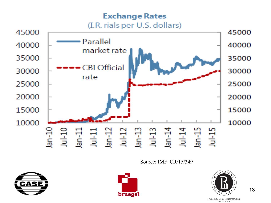#### **Exchange Rates** (I.R. rials per U.S. dollars)



Source: IMF CR/15/349







13

НАЦИОНАЛЬНЫЙ ИССЛЕДОВАТЕЛЬСКИЙ **YHUBEPCUTET**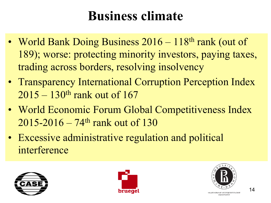### **Business climate**

- World Bank Doing Business 2016 118<sup>th</sup> rank (out of 189); worse: protecting minority investors, paying taxes, trading across borders, resolving insolvency
- Transparency International Corruption Perception Index  $2015 - 130$ <sup>th</sup> rank out of 167
- World Economic Forum Global Competitiveness Index  $2015 - 2016 - 74$ <sup>th</sup> rank out of 130
- Excessive administrative regulation and political interference







ИОНАЛЬНЫЙ ИССЛЕДОВАТЕЛЬСКИЙ **UMPERCMTET**